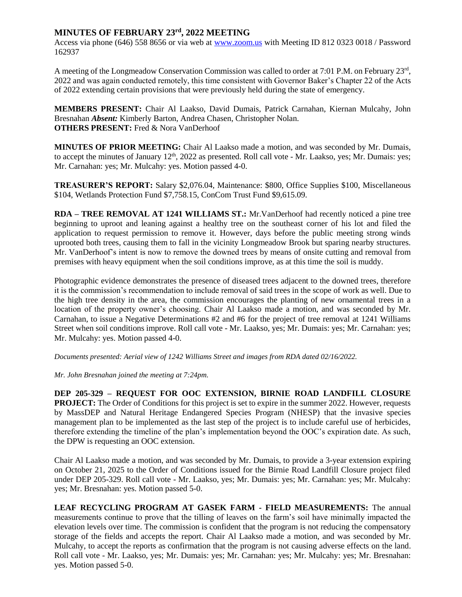## **MINUTES OF FEBRUARY 23rd, 2022 MEETING**

Access via phone (646) 558 8656 or via web at [www.zoom.us](http://www.zoom.us/) with Meeting ID 812 0323 0018 / Password 162937

A meeting of the Longmeadow Conservation Commission was called to order at 7:01 P.M. on February 23rd, 2022 and was again conducted remotely, this time consistent with Governor Baker's Chapter 22 of the Acts of 2022 extending certain provisions that were previously held during the state of emergency.

**MEMBERS PRESENT:** Chair Al Laakso, David Dumais, Patrick Carnahan, Kiernan Mulcahy, John Bresnahan *Absent:* Kimberly Barton, Andrea Chasen, Christopher Nolan. **OTHERS PRESENT:** Fred & Nora VanDerhoof

**MINUTES OF PRIOR MEETING:** Chair Al Laakso made a motion, and was seconded by Mr. Dumais, to accept the minutes of January  $12<sup>th</sup>$ , 2022 as presented. Roll call vote - Mr. Laakso, yes; Mr. Dumais: yes; Mr. Carnahan: yes; Mr. Mulcahy: yes. Motion passed 4-0.

**TREASURER'S REPORT:** Salary \$2,076.04, Maintenance: \$800, Office Supplies \$100, Miscellaneous \$104, Wetlands Protection Fund \$7,758.15, ConCom Trust Fund \$9,615.09.

**RDA – TREE REMOVAL AT 1241 WILLIAMS ST.:** Mr.VanDerhoof had recently noticed a pine tree beginning to uproot and leaning against a healthy tree on the southeast corner of his lot and filed the application to request permission to remove it. However, days before the public meeting strong winds uprooted both trees, causing them to fall in the vicinity Longmeadow Brook but sparing nearby structures. Mr. VanDerhoof's intent is now to remove the downed trees by means of onsite cutting and removal from premises with heavy equipment when the soil conditions improve, as at this time the soil is muddy.

Photographic evidence demonstrates the presence of diseased trees adjacent to the downed trees, therefore it is the commission's recommendation to include removal of said trees in the scope of work as well. Due to the high tree density in the area, the commission encourages the planting of new ornamental trees in a location of the property owner's choosing. Chair Al Laakso made a motion, and was seconded by Mr. Carnahan, to issue a Negative Determinations #2 and #6 for the project of tree removal at 1241 Williams Street when soil conditions improve. Roll call vote - Mr. Laakso, yes; Mr. Dumais: yes; Mr. Carnahan: yes; Mr. Mulcahy: yes. Motion passed 4-0.

*Documents presented: Aerial view of 1242 Williams Street and images from RDA dated 02/16/2022.*

*Mr. John Bresnahan joined the meeting at 7:24pm.*

**DEP 205-329 – REQUEST FOR OOC EXTENSION, BIRNIE ROAD LANDFILL CLOSURE PROJECT:** The Order of Conditions for this project is set to expire in the summer 2022. However, requests by MassDEP and Natural Heritage Endangered Species Program (NHESP) that the invasive species management plan to be implemented as the last step of the project is to include careful use of herbicides, therefore extending the timeline of the plan's implementation beyond the OOC's expiration date. As such, the DPW is requesting an OOC extension.

Chair Al Laakso made a motion, and was seconded by Mr. Dumais, to provide a 3-year extension expiring on October 21, 2025 to the Order of Conditions issued for the Birnie Road Landfill Closure project filed under DEP 205-329. Roll call vote - Mr. Laakso, yes; Mr. Dumais: yes; Mr. Carnahan: yes; Mr. Mulcahy: yes; Mr. Bresnahan: yes. Motion passed 5-0.

**LEAF RECYCLING PROGRAM AT GASEK FARM - FIELD MEASUREMENTS:** The annual measurements continue to prove that the tilling of leaves on the farm's soil have minimally impacted the elevation levels over time. The commission is confident that the program is not reducing the compensatory storage of the fields and accepts the report. Chair Al Laakso made a motion, and was seconded by Mr. Mulcahy, to accept the reports as confirmation that the program is not causing adverse effects on the land. Roll call vote - Mr. Laakso, yes; Mr. Dumais: yes; Mr. Carnahan: yes; Mr. Mulcahy: yes; Mr. Bresnahan: yes. Motion passed 5-0.